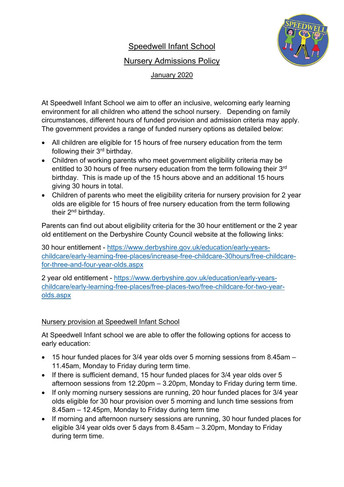# Speedwell Infant School



### Nursery Admissions Policy

January 2020

At Speedwell Infant School we aim to offer an inclusive, welcoming early learning environment for all children who attend the school nursery. Depending on family circumstances, different hours of funded provision and admission criteria may apply. The government provides a range of funded nursery options as detailed below:

- All children are eligible for 15 hours of free nursery education from the term following their 3rd birthday.
- Children of working parents who meet government eligibility criteria may be entitled to 30 hours of free nursery education from the term following their 3rd birthday. This is made up of the 15 hours above and an additional 15 hours giving 30 hours in total.
- Children of parents who meet the eligibility criteria for nursery provision for 2 year olds are eligible for 15 hours of free nursery education from the term following their 2nd birthday.

Parents can find out about eligibility criteria for the 30 hour entitlement or the 2 year old entitlement on the Derbyshire County Council website at the following links:

30 hour entitlement - [https://www.derbyshire.gov.uk/education/early-years](https://www.derbyshire.gov.uk/education/early-years-childcare/early-learning-free-places/increase-free-childcare-30hours/free-childcare-for-three-and-four-year-olds.aspx)[childcare/early-learning-free-places/increase-free-childcare-30hours/free-childcare](https://www.derbyshire.gov.uk/education/early-years-childcare/early-learning-free-places/increase-free-childcare-30hours/free-childcare-for-three-and-four-year-olds.aspx)[for-three-and-four-year-olds.aspx](https://www.derbyshire.gov.uk/education/early-years-childcare/early-learning-free-places/increase-free-childcare-30hours/free-childcare-for-three-and-four-year-olds.aspx)

2 year old entitlement - [https://www.derbyshire.gov.uk/education/early-years](https://www.derbyshire.gov.uk/education/early-years-childcare/early-learning-free-places/free-places-two/free-childcare-for-two-year-olds.aspx)[childcare/early-learning-free-places/free-places-two/free-childcare-for-two-year](https://www.derbyshire.gov.uk/education/early-years-childcare/early-learning-free-places/free-places-two/free-childcare-for-two-year-olds.aspx)[olds.aspx](https://www.derbyshire.gov.uk/education/early-years-childcare/early-learning-free-places/free-places-two/free-childcare-for-two-year-olds.aspx)

## Nursery provision at Speedwell Infant School

At Speedwell Infant school we are able to offer the following options for access to early education:

- 15 hour funded places for 3/4 year olds over 5 morning sessions from 8.45am 11.45am, Monday to Friday during term time.
- If there is sufficient demand, 15 hour funded places for 3/4 year olds over 5 afternoon sessions from 12.20pm – 3.20pm, Monday to Friday during term time.
- If only morning nursery sessions are running, 20 hour funded places for 3/4 year olds eligible for 30 hour provision over 5 morning and lunch time sessions from 8.45am – 12.45pm, Monday to Friday during term time
- If morning and afternoon nursery sessions are running, 30 hour funded places for eligible 3/4 year olds over 5 days from 8.45am – 3.20pm, Monday to Friday during term time.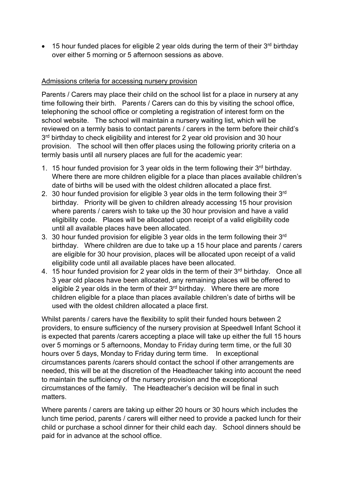• 15 hour funded places for eligible 2 year olds during the term of their  $3<sup>rd</sup>$  birthday over either 5 morning or 5 afternoon sessions as above.

### Admissions criteria for accessing nursery provision

Parents / Carers may place their child on the school list for a place in nursery at any time following their birth. Parents / Carers can do this by visiting the school office, telephoning the school office or completing a registration of interest form on the school website. The school will maintain a nursery waiting list, which will be reviewed on a termly basis to contact parents / carers in the term before their child's 3<sup>rd</sup> birthday to check eligibility and interest for 2 year old provision and 30 hour provision. The school will then offer places using the following priority criteria on a termly basis until all nursery places are full for the academic year:

- 1. 15 hour funded provision for 3 year olds in the term following their  $3<sup>rd</sup>$  birthday. Where there are more children eligible for a place than places available children's date of births will be used with the oldest children allocated a place first.
- 2. 30 hour funded provision for eligible 3 year olds in the term following their 3rd birthday. Priority will be given to children already accessing 15 hour provision where parents / carers wish to take up the 30 hour provision and have a valid eligibility code. Places will be allocated upon receipt of a valid eligibility code until all available places have been allocated.
- 3. 30 hour funded provision for eligible 3 year olds in the term following their 3rd birthday. Where children are due to take up a 15 hour place and parents / carers are eligible for 30 hour provision, places will be allocated upon receipt of a valid eligibility code until all available places have been allocated.
- 4. 15 hour funded provision for 2 year olds in the term of their 3<sup>rd</sup> birthday. Once all 3 year old places have been allocated, any remaining places will be offered to eligible 2 year olds in the term of their  $3<sup>rd</sup>$  birthday. Where there are more children eligible for a place than places available children's date of births will be used with the oldest children allocated a place first.

Whilst parents / carers have the flexibility to split their funded hours between 2 providers, to ensure sufficiency of the nursery provision at Speedwell Infant School it is expected that parents /carers accepting a place will take up either the full 15 hours over 5 mornings or 5 afternoons, Monday to Friday during term time, or the full 30 hours over 5 days, Monday to Friday during term time. In exceptional circumstances parents /carers should contact the school if other arrangements are needed, this will be at the discretion of the Headteacher taking into account the need to maintain the sufficiency of the nursery provision and the exceptional circumstances of the family. The Headteacher's decision will be final in such matters.

Where parents / carers are taking up either 20 hours or 30 hours which includes the lunch time period, parents / carers will either need to provide a packed lunch for their child or purchase a school dinner for their child each day. School dinners should be paid for in advance at the school office.